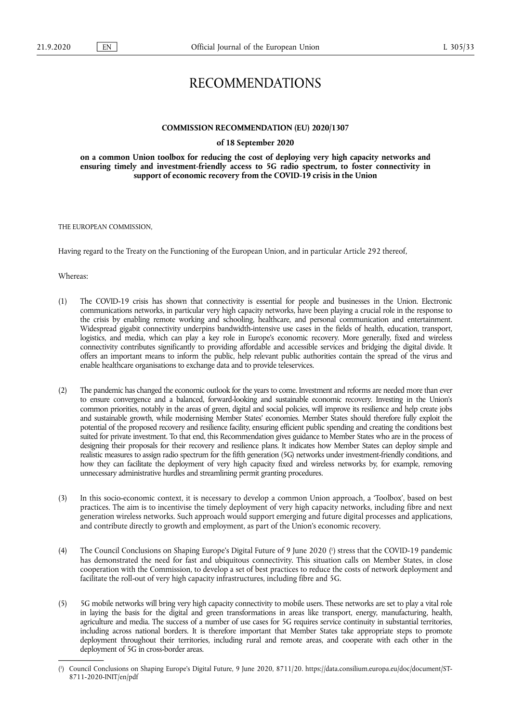# RECOMMENDATIONS

## **COMMISSION RECOMMENDATION (EU) 2020/1307**

## **of 18 September 2020**

**on a common Union toolbox for reducing the cost of deploying very high capacity networks and ensuring timely and investment-friendly access to 5G radio spectrum, to foster connectivity in support of economic recovery from the COVID-19 crisis in the Union** 

THE EUROPEAN COMMISSION,

Having regard to the Treaty on the Functioning of the European Union, and in particular Article 292 thereof,

Whereas:

- (1) The COVID-19 crisis has shown that connectivity is essential for people and businesses in the Union. Electronic communications networks, in particular very high capacity networks, have been playing a crucial role in the response to the crisis by enabling remote working and schooling, healthcare, and personal communication and entertainment. Widespread gigabit connectivity underpins bandwidth-intensive use cases in the fields of health, education, transport, logistics, and media, which can play a key role in Europe's economic recovery. More generally, fixed and wireless connectivity contributes significantly to providing affordable and accessible services and bridging the digital divide. It offers an important means to inform the public, help relevant public authorities contain the spread of the virus and enable healthcare organisations to exchange data and to provide teleservices.
- (2) The pandemic has changed the economic outlook for the years to come. Investment and reforms are needed more than ever to ensure convergence and a balanced, forward-looking and sustainable economic recovery. Investing in the Union's common priorities, notably in the areas of green, digital and social policies, will improve its resilience and help create jobs and sustainable growth, while modernising Member States' economies. Member States should therefore fully exploit the potential of the proposed recovery and resilience facility, ensuring efficient public spending and creating the conditions best suited for private investment. To that end, this Recommendation gives guidance to Member States who are in the process of designing their proposals for their recovery and resilience plans. It indicates how Member States can deploy simple and realistic measures to assign radio spectrum for the fifth generation (5G) networks under investment-friendly conditions, and how they can facilitate the deployment of very high capacity fixed and wireless networks by, for example, removing unnecessary administrative hurdles and streamlining permit granting procedures.
- (3) In this socio-economic context, it is necessary to develop a common Union approach, a 'Toolbox', based on best practices. The aim is to incentivise the timely deployment of very high capacity networks, including fibre and next generation wireless networks. Such approach would support emerging and future digital processes and applications, and contribute directly to growth and employment, as part of the Union's economic recovery.
- <span id="page-0-1"></span>(4) The Council Conclusions on Shaping Europe's Digital Future of 9 June 2020 [\(](#page-0-0) 1 ) stress that the COVID-19 pandemic has demonstrated the need for fast and ubiquitous connectivity. This situation calls on Member States, in close cooperation with the Commission, to develop a set of best practices to reduce the costs of network deployment and facilitate the roll-out of very high capacity infrastructures, including fibre and 5G.
- (5) 5G mobile networks will bring very high capacity connectivity to mobile users. These networks are set to play a vital role in laying the basis for the digital and green transformations in areas like transport, energy, manufacturing, health, agriculture and media. The success of a number of use cases for 5G requires service continuity in substantial territories, including across national borders. It is therefore important that Member States take appropriate steps to promote deployment throughout their territories, including rural and remote areas, and cooperate with each other in the deployment of 5G in cross-border areas.

<span id="page-0-0"></span>[<sup>\(</sup>](#page-0-1) 1 ) Council Conclusions on Shaping Europe's Digital Future, 9 June 2020, 8711/20. [https://data.consilium.europa.eu/doc/document/ST-](https://data.consilium.europa.eu/doc/document/ST-8711-2020-INIT/en/pdf)[8711-2020-INIT/en/pdf](https://data.consilium.europa.eu/doc/document/ST-8711-2020-INIT/en/pdf)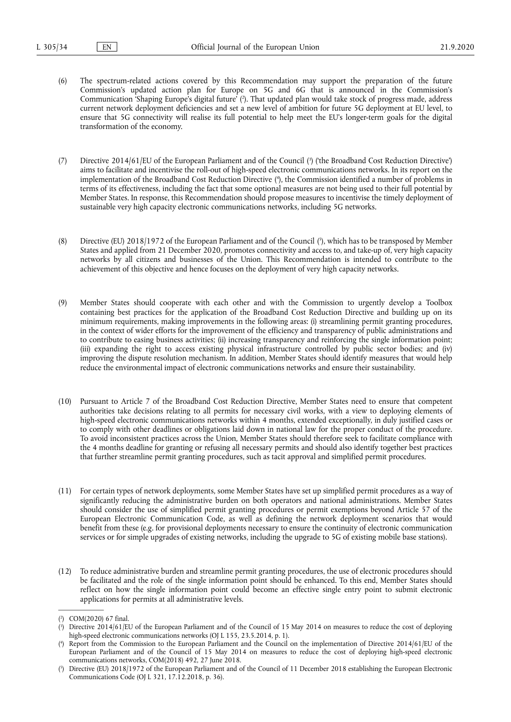- <span id="page-1-4"></span>(6) The spectrum-related actions covered by this Recommendation may support the preparation of the future Commission's updated action plan for Europe on 5G and 6G that is announced in the Commission's Communication 'Shaping Europe's digital future' [\(](#page-1-0) 2 ). That updated plan would take stock of progress made, address current network deployment deficiencies and set a new level of ambition for future 5G deployment at EU level, to ensure that 5G connectivity will realise its full potential to help meet the EU's longer-term goals for the digital transformation of the economy.
- <span id="page-1-6"></span><span id="page-1-5"></span>[\(](#page-1-1)7) Directive 2014/61/EU of the European Parliament and of the Council (<sup>3</sup>) ('the Broadband Cost Reduction Directive') aims to facilitate and incentivise the roll-out of high-speed electronic communications networks. In its report on the implementation of the Broadband Cost Reduction Directive ( 4 [\),](#page-1-2) the Commission identified a number of problems in terms of its effectiveness, including the fact that some optional measures are not being used to their full potential by Member States. In response, this Recommendation should propose measures to incentivise the timely deployment of sustainable very high capacity electronic communications networks, including 5G networks.
- <span id="page-1-7"></span>(8) Directive (EU) 2018/1972 of the European Parliament and of the Council [\(](#page-1-3) 5 ), which has to be transposed by Member States and applied from 21 December 2020, promotes connectivity and access to, and take-up of, very high capacity networks by all citizens and businesses of the Union. This Recommendation is intended to contribute to the achievement of this objective and hence focuses on the deployment of very high capacity networks.
- (9) Member States should cooperate with each other and with the Commission to urgently develop a Toolbox containing best practices for the application of the Broadband Cost Reduction Directive and building up on its minimum requirements, making improvements in the following areas: (i) streamlining permit granting procedures, in the context of wider efforts for the improvement of the efficiency and transparency of public administrations and to contribute to easing business activities; (ii) increasing transparency and reinforcing the single information point; (iii) expanding the right to access existing physical infrastructure controlled by public sector bodies; and (iv) improving the dispute resolution mechanism. In addition, Member States should identify measures that would help reduce the environmental impact of electronic communications networks and ensure their sustainability.
- (10) Pursuant to Article 7 of the Broadband Cost Reduction Directive, Member States need to ensure that competent authorities take decisions relating to all permits for necessary civil works, with a view to deploying elements of high-speed electronic communications networks within 4 months, extended exceptionally, in duly justified cases or to comply with other deadlines or obligations laid down in national law for the proper conduct of the procedure. To avoid inconsistent practices across the Union, Member States should therefore seek to facilitate compliance with the 4 months deadline for granting or refusing all necessary permits and should also identify together best practices that further streamline permit granting procedures, such as tacit approval and simplified permit procedures.
- (11) For certain types of network deployments, some Member States have set up simplified permit procedures as a way of significantly reducing the administrative burden on both operators and national administrations. Member States should consider the use of simplified permit granting procedures or permit exemptions beyond Article 57 of the European Electronic Communication Code, as well as defining the network deployment scenarios that would benefit from these (e.g. for provisional deployments necessary to ensure the continuity of electronic communication services or for simple upgrades of existing networks, including the upgrade to 5G of existing mobile base stations).
- (12) To reduce administrative burden and streamline permit granting procedures, the use of electronic procedures should be facilitated and the role of the single information point should be enhanced. To this end, Member States should reflect on how the single information point could become an effective single entry point to submit electronic applications for permits at all administrative levels.

<span id="page-1-0"></span>[<sup>\(</sup>](#page-1-4) 2 ) COM(2020) 67 final.

<span id="page-1-1"></span>[<sup>\(</sup>](#page-1-5) 3 ) Directive 2014/61/EU of the European Parliament and of the Council of 15 May 2014 on measures to reduce the cost of deploying high-speed electronic communications networks (OJ L 155, 23.5.2014, p. 1).

<span id="page-1-2"></span> $($ <sup>4</sup> ) Report from the Commission to the European Parliament and the Council on the implementation of Directive 2014/61/EU of the European Parliament and of the Council of 15 May 2014 on measures to reduce the cost of deploying high-speed electronic communications networks, COM(2018) 492, 27 June 2018.

<span id="page-1-3"></span>[<sup>\(</sup>](#page-1-7) 5 ) Directive (EU) 2018/1972 of the European Parliament and of the Council of 11 December 2018 establishing the European Electronic Communications Code (OJ L 321, 17.12.2018, p. 36).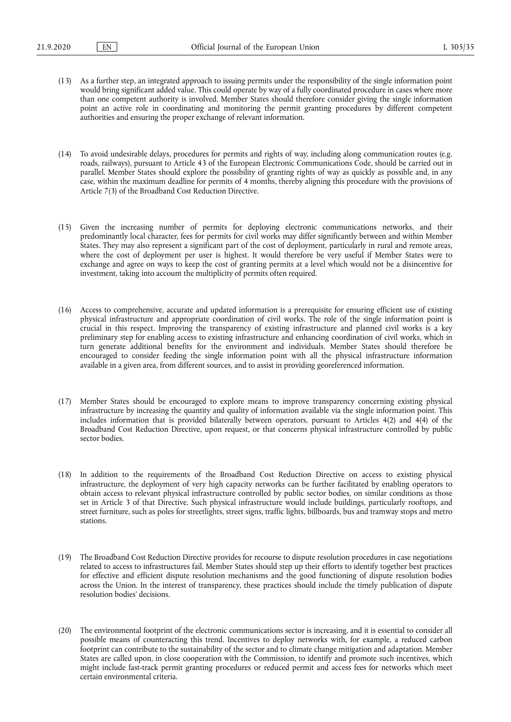- (13) As a further step, an integrated approach to issuing permits under the responsibility of the single information point would bring significant added value. This could operate by way of a fully coordinated procedure in cases where more than one competent authority is involved. Member States should therefore consider giving the single information point an active role in coordinating and monitoring the permit granting procedures by different competent authorities and ensuring the proper exchange of relevant information.
- (14) To avoid undesirable delays, procedures for permits and rights of way, including along communication routes (e.g. roads, railways), pursuant to Article 43 of the European Electronic Communications Code, should be carried out in parallel. Member States should explore the possibility of granting rights of way as quickly as possible and, in any case, within the maximum deadline for permits of 4 months, thereby aligning this procedure with the provisions of Article 7(3) of the Broadband Cost Reduction Directive.
- (15) Given the increasing number of permits for deploying electronic communications networks, and their predominantly local character, fees for permits for civil works may differ significantly between and within Member States. They may also represent a significant part of the cost of deployment, particularly in rural and remote areas, where the cost of deployment per user is highest. It would therefore be very useful if Member States were to exchange and agree on ways to keep the cost of granting permits at a level which would not be a disincentive for investment, taking into account the multiplicity of permits often required.
- (16) Access to comprehensive, accurate and updated information is a prerequisite for ensuring efficient use of existing physical infrastructure and appropriate coordination of civil works. The role of the single information point is crucial in this respect. Improving the transparency of existing infrastructure and planned civil works is a key preliminary step for enabling access to existing infrastructure and enhancing coordination of civil works, which in turn generate additional benefits for the environment and individuals. Member States should therefore be encouraged to consider feeding the single information point with all the physical infrastructure information available in a given area, from different sources, and to assist in providing georeferenced information.
- (17) Member States should be encouraged to explore means to improve transparency concerning existing physical infrastructure by increasing the quantity and quality of information available via the single information point. This includes information that is provided bilaterally between operators, pursuant to Articles 4(2) and 4(4) of the Broadband Cost Reduction Directive, upon request, or that concerns physical infrastructure controlled by public sector bodies.
- (18) In addition to the requirements of the Broadband Cost Reduction Directive on access to existing physical infrastructure, the deployment of very high capacity networks can be further facilitated by enabling operators to obtain access to relevant physical infrastructure controlled by public sector bodies, on similar conditions as those set in Article 3 of that Directive. Such physical infrastructure would include buildings, particularly rooftops, and street furniture, such as poles for streetlights, street signs, traffic lights, billboards, bus and tramway stops and metro stations.
- (19) The Broadband Cost Reduction Directive provides for recourse to dispute resolution procedures in case negotiations related to access to infrastructures fail. Member States should step up their efforts to identify together best practices for effective and efficient dispute resolution mechanisms and the good functioning of dispute resolution bodies across the Union. In the interest of transparency, these practices should include the timely publication of dispute resolution bodies' decisions.
- (20) The environmental footprint of the electronic communications sector is increasing, and it is essential to consider all possible means of counteracting this trend. Incentives to deploy networks with, for example, a reduced carbon footprint can contribute to the sustainability of the sector and to climate change mitigation and adaptation. Member States are called upon, in close cooperation with the Commission, to identify and promote such incentives, which might include fast-track permit granting procedures or reduced permit and access fees for networks which meet certain environmental criteria.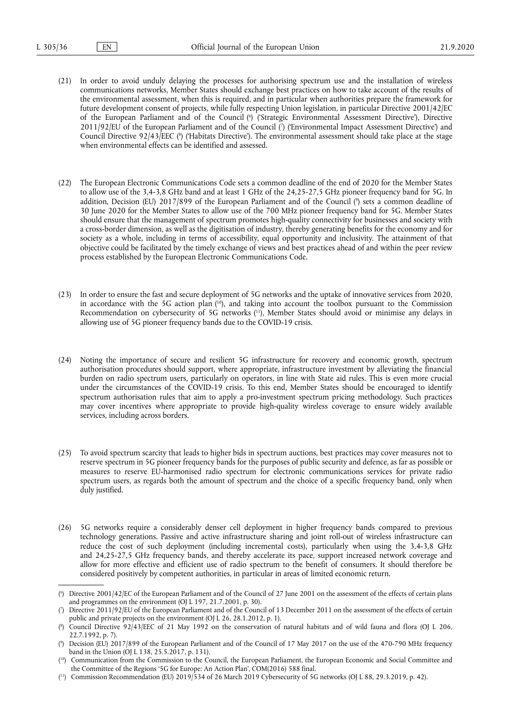- <span id="page-3-7"></span><span id="page-3-6"></span>(21) In order to avoid unduly delaying the processes for authorising spectrum use and the installation of wireless communications networks, Member States should exchange best practices on how to take account of the results of the environmental assessment, when this is required, and in particular when authorities prepare the framework for future development consent of projects, while fully respecting Union legislation, in particular Directive 2001/42/EC of the European Parliament and of the Council ( 6 [\)](#page-3-0) ('Strategic Environmental Assessment Directive'), Directive 2011/92/EU of the European Parliament and of the Council [\(](#page-3-1)?) ('Environmental Impact Assessment Directive') and Council Directive 92/43/EEC [\(](#page-3-2) 8 ) ('Habitats Directive'). The environmental assessment should take place at the stage when environmental effects can be identified and assessed.
- <span id="page-3-9"></span><span id="page-3-8"></span>(22) The European Electronic Communications Code sets a common deadline of the end of 2020 for the Member States to allow use of the 3,4-3,8 GHz band and at least 1 GHz of the 24,25-27,5 GHz pioneer frequency band for 5G. In addition, Decision (EU) 2017/899 of the European Parliament and of the Council ( 9 [\)](#page-3-3) sets a common deadline of 30 June 2020 for the Member States to allow use of the 700 MHz pioneer frequency band for 5G. Member States should ensure that the management of spectrum promotes high-quality connectivity for businesses and society with a cross-border dimension, as well as the digitisation of industry, thereby generating benefits for the economy and for society as a whole, including in terms of accessibility, equal opportunity and inclusivity. The attainment of that objective could be facilitated by the timely exchange of views and best practices ahead of and within the peer review process established by the European Electronic Communications Code.
- <span id="page-3-11"></span><span id="page-3-10"></span>(23) In order to ensure the fast and secure deployment of 5G networks and the uptake of innovative services from 2020, in accordance with the 5G action plan ( [10\),](#page-3-4) and taking into account the toolbox pursuant to the Commission Recommendation on cybersecurity of 5G networks ( [11\),](#page-3-5) Member States should avoid or minimise any delays in allowing use of 5G pioneer frequency bands due to the COVID-19 crisis.
- (24) Noting the importance of secure and resilient 5G infrastructure for recovery and economic growth, spectrum authorisation procedures should support, where appropriate, infrastructure investment by alleviating the financial burden on radio spectrum users, particularly on operators, in line with State aid rules. This is even more crucial under the circumstances of the COVID-19 crisis. To this end, Member States should be encouraged to identify spectrum authorisation rules that aim to apply a pro-investment spectrum pricing methodology. Such practices may cover incentives where appropriate to provide high-quality wireless coverage to ensure widely available services, including across borders.
- (25) To avoid spectrum scarcity that leads to higher bids in spectrum auctions, best practices may cover measures not to reserve spectrum in 5G pioneer frequency bands for the purposes of public security and defence, as far as possible or measures to reserve EU-harmonised radio spectrum for electronic communications services for private radio spectrum users, as regards both the amount of spectrum and the choice of a specific frequency band, only when duly justified.
- (26) 5G networks require a considerably denser cell deployment in higher frequency bands compared to previous technology generations. Passive and active infrastructure sharing and joint roll-out of wireless infrastructure can reduce the cost of such deployment (including incremental costs), particularly when using the 3,4-3,8 GHz and 24,25-27,5 GHz frequency bands, and thereby accelerate its pace, support increased network coverage and allow for more effective and efficient use of radio spectrum to the benefit of consumers. It should therefore be considered positively by competent authorities, in particular in areas of limited economic return.

<span id="page-3-0"></span>[<sup>\(</sup>](#page-3-6) 6 ) Directive 2001/42/EC of the European Parliament and of the Council of 27 June 2001 on the assessment of the effects of certain plans and programmes on the environment (OJ L 197, 21.7.2001, p. 30).

<span id="page-3-1"></span>[<sup>\(</sup>](#page-3-7) 7 ) Directive 2011/92/EU of the European Parliament and of the Council of 13 December 2011 on the assessment of the effects of certain public and private projects on the environment (OJ L 26, 28.1.2012, p. 1).

<span id="page-3-2"></span>[<sup>\(</sup>](#page-3-8) 8 ) Council Directive 92/43/EEC of 21 May 1992 on the conservation of natural habitats and of wild fauna and flora (OJ L 206, 22.7.1992, p. 7).

<span id="page-3-3"></span>[<sup>\(</sup>](#page-3-9) 9 ) Decision (EU) 2017/899 of the European Parliament and of the Council of 17 May 2017 on the use of the 470-790 MHz frequency band in the Union (OJ L 138, 25.5.2017, p. 131).

<span id="page-3-4"></span><sup>(</sup> [10\)](#page-3-10) Communication from the Commission to the Council, the European Parliament, the European Economic and Social Committee and the Committee of the Regions '5G for Europe: An Action Plan', COM(2016) 588 final.

<span id="page-3-5"></span><sup>(</sup> [11\)](#page-3-11) Commission Recommendation (EU) 2019/534 of 26 March 2019 Cybersecurity of 5G networks (OJ L 88, 29.3.2019, p. 42).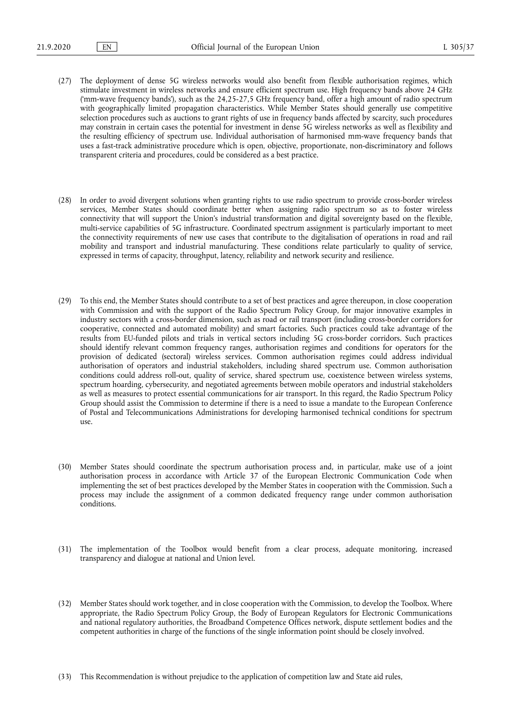- (27) The deployment of dense 5G wireless networks would also benefit from flexible authorisation regimes, which stimulate investment in wireless networks and ensure efficient spectrum use. High frequency bands above 24 GHz ('mm-wave frequency bands'), such as the 24,25-27,5 GHz frequency band, offer a high amount of radio spectrum with geographically limited propagation characteristics. While Member States should generally use competitive selection procedures such as auctions to grant rights of use in frequency bands affected by scarcity, such procedures may constrain in certain cases the potential for investment in dense 5G wireless networks as well as flexibility and the resulting efficiency of spectrum use. Individual authorisation of harmonised mm-wave frequency bands that uses a fast-track administrative procedure which is open, objective, proportionate, non-discriminatory and follows transparent criteria and procedures, could be considered as a best practice.
- (28) In order to avoid divergent solutions when granting rights to use radio spectrum to provide cross-border wireless services, Member States should coordinate better when assigning radio spectrum so as to foster wireless connectivity that will support the Union's industrial transformation and digital sovereignty based on the flexible, multi-service capabilities of 5G infrastructure. Coordinated spectrum assignment is particularly important to meet the connectivity requirements of new use cases that contribute to the digitalisation of operations in road and rail mobility and transport and industrial manufacturing. These conditions relate particularly to quality of service, expressed in terms of capacity, throughput, latency, reliability and network security and resilience.
- (29) To this end, the Member States should contribute to a set of best practices and agree thereupon, in close cooperation with Commission and with the support of the Radio Spectrum Policy Group, for major innovative examples in industry sectors with a cross-border dimension, such as road or rail transport (including cross-border corridors for cooperative, connected and automated mobility) and smart factories. Such practices could take advantage of the results from EU-funded pilots and trials in vertical sectors including 5G cross-border corridors. Such practices should identify relevant common frequency ranges, authorisation regimes and conditions for operators for the provision of dedicated (sectoral) wireless services. Common authorisation regimes could address individual authorisation of operators and industrial stakeholders, including shared spectrum use. Common authorisation conditions could address roll-out, quality of service, shared spectrum use, coexistence between wireless systems, spectrum hoarding, cybersecurity, and negotiated agreements between mobile operators and industrial stakeholders as well as measures to protect essential communications for air transport. In this regard, the Radio Spectrum Policy Group should assist the Commission to determine if there is a need to issue a mandate to the European Conference of Postal and Telecommunications Administrations for developing harmonised technical conditions for spectrum use.
- (30) Member States should coordinate the spectrum authorisation process and, in particular, make use of a joint authorisation process in accordance with Article 37 of the European Electronic Communication Code when implementing the set of best practices developed by the Member States in cooperation with the Commission. Such a process may include the assignment of a common dedicated frequency range under common authorisation conditions.
- (31) The implementation of the Toolbox would benefit from a clear process, adequate monitoring, increased transparency and dialogue at national and Union level.
- (32) Member States should work together, and in close cooperation with the Commission, to develop the Toolbox. Where appropriate, the Radio Spectrum Policy Group, the Body of European Regulators for Electronic Communications and national regulatory authorities, the Broadband Competence Offices network, dispute settlement bodies and the competent authorities in charge of the functions of the single information point should be closely involved.
- (33) This Recommendation is without prejudice to the application of competition law and State aid rules,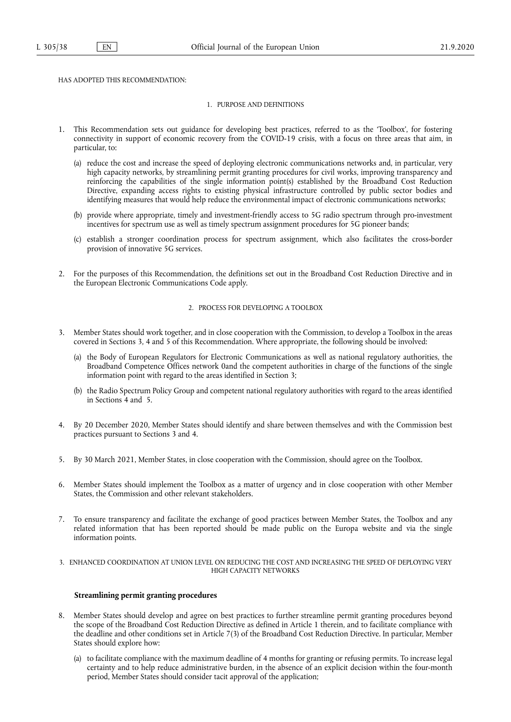# HAS ADOPTED THIS RECOMMENDATION:

## 1. PURPOSE AND DEFINITIONS

- 1. This Recommendation sets out guidance for developing best practices, referred to as the 'Toolbox', for fostering connectivity in support of economic recovery from the COVID-19 crisis, with a focus on three areas that aim, in particular, to:
	- (a) reduce the cost and increase the speed of deploying electronic communications networks and, in particular, very high capacity networks, by streamlining permit granting procedures for civil works, improving transparency and reinforcing the capabilities of the single information point(s) established by the Broadband Cost Reduction Directive, expanding access rights to existing physical infrastructure controlled by public sector bodies and identifying measures that would help reduce the environmental impact of electronic communications networks;
	- (b) provide where appropriate, timely and investment-friendly access to 5G radio spectrum through pro-investment incentives for spectrum use as well as timely spectrum assignment procedures for 5G pioneer bands;
	- (c) establish a stronger coordination process for spectrum assignment, which also facilitates the cross-border provision of innovative 5G services.
- 2. For the purposes of this Recommendation, the definitions set out in the Broadband Cost Reduction Directive and in the European Electronic Communications Code apply.

## 2. PROCESS FOR DEVELOPING A TOOLBOX

- 3. Member States should work together, and in close cooperation with the Commission, to develop a Toolbox in the areas covered in Sections 3, 4 and 5 of this Recommendation. Where appropriate, the following should be involved:
	- (a) the Body of European Regulators for Electronic Communications as well as national regulatory authorities, the Broadband Competence Offices network 0and the competent authorities in charge of the functions of the single information point with regard to the areas identified in Section 3;
	- (b) the Radio Spectrum Policy Group and competent national regulatory authorities with regard to the areas identified in Sections 4 and 5.
- 4. By 20 December 2020, Member States should identify and share between themselves and with the Commission best practices pursuant to Sections 3 and 4.
- 5. By 30 March 2021, Member States, in close cooperation with the Commission, should agree on the Toolbox.
- 6. Member States should implement the Toolbox as a matter of urgency and in close cooperation with other Member States, the Commission and other relevant stakeholders.
- 7. To ensure transparency and facilitate the exchange of good practices between Member States, the Toolbox and any related information that has been reported should be made public on the Europa website and via the single information points.

## 3. ENHANCED COORDINATION AT UNION LEVEL ON REDUCING THE COST AND INCREASING THE SPEED OF DEPLOYING VERY HIGH CAPACITY NETWORKS

# **Streamlining permit granting procedures**

- 8. Member States should develop and agree on best practices to further streamline permit granting procedures beyond the scope of the Broadband Cost Reduction Directive as defined in Article 1 therein, and to facilitate compliance with the deadline and other conditions set in Article 7(3) of the Broadband Cost Reduction Directive. In particular, Member States should explore how:
	- (a) to facilitate compliance with the maximum deadline of 4 months for granting or refusing permits. To increase legal certainty and to help reduce administrative burden, in the absence of an explicit decision within the four-month period, Member States should consider tacit approval of the application;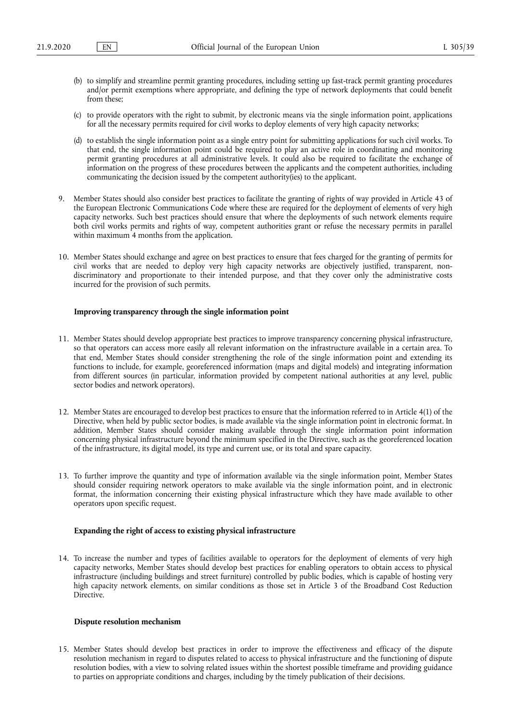- (b) to simplify and streamline permit granting procedures, including setting up fast-track permit granting procedures and/or permit exemptions where appropriate, and defining the type of network deployments that could benefit from these;
- (c) to provide operators with the right to submit, by electronic means via the single information point, applications for all the necessary permits required for civil works to deploy elements of very high capacity networks;
- (d) to establish the single information point as a single entry point for submitting applications for such civil works. To that end, the single information point could be required to play an active role in coordinating and monitoring permit granting procedures at all administrative levels. It could also be required to facilitate the exchange of information on the progress of these procedures between the applicants and the competent authorities, including communicating the decision issued by the competent authority(ies) to the applicant.
- 9. Member States should also consider best practices to facilitate the granting of rights of way provided in Article 43 of the European Electronic Communications Code where these are required for the deployment of elements of very high capacity networks. Such best practices should ensure that where the deployments of such network elements require both civil works permits and rights of way, competent authorities grant or refuse the necessary permits in parallel within maximum 4 months from the application.
- 10. Member States should exchange and agree on best practices to ensure that fees charged for the granting of permits for civil works that are needed to deploy very high capacity networks are objectively justified, transparent, nondiscriminatory and proportionate to their intended purpose, and that they cover only the administrative costs incurred for the provision of such permits.

#### **Improving transparency through the single information point**

- 11. Member States should develop appropriate best practices to improve transparency concerning physical infrastructure, so that operators can access more easily all relevant information on the infrastructure available in a certain area. To that end, Member States should consider strengthening the role of the single information point and extending its functions to include, for example, georeferenced information (maps and digital models) and integrating information from different sources (in particular, information provided by competent national authorities at any level, public sector bodies and network operators).
- 12. Member States are encouraged to develop best practices to ensure that the information referred to in Article 4(1) of the Directive, when held by public sector bodies, is made available via the single information point in electronic format. In addition, Member States should consider making available through the single information point information concerning physical infrastructure beyond the minimum specified in the Directive, such as the georeferenced location of the infrastructure, its digital model, its type and current use, or its total and spare capacity.
- 13. To further improve the quantity and type of information available via the single information point, Member States should consider requiring network operators to make available via the single information point, and in electronic format, the information concerning their existing physical infrastructure which they have made available to other operators upon specific request.

# **Expanding the right of access to existing physical infrastructure**

14. To increase the number and types of facilities available to operators for the deployment of elements of very high capacity networks, Member States should develop best practices for enabling operators to obtain access to physical infrastructure (including buildings and street furniture) controlled by public bodies, which is capable of hosting very high capacity network elements, on similar conditions as those set in Article 3 of the Broadband Cost Reduction Directive.

# **Dispute resolution mechanism**

15. Member States should develop best practices in order to improve the effectiveness and efficacy of the dispute resolution mechanism in regard to disputes related to access to physical infrastructure and the functioning of dispute resolution bodies, with a view to solving related issues within the shortest possible timeframe and providing guidance to parties on appropriate conditions and charges, including by the timely publication of their decisions.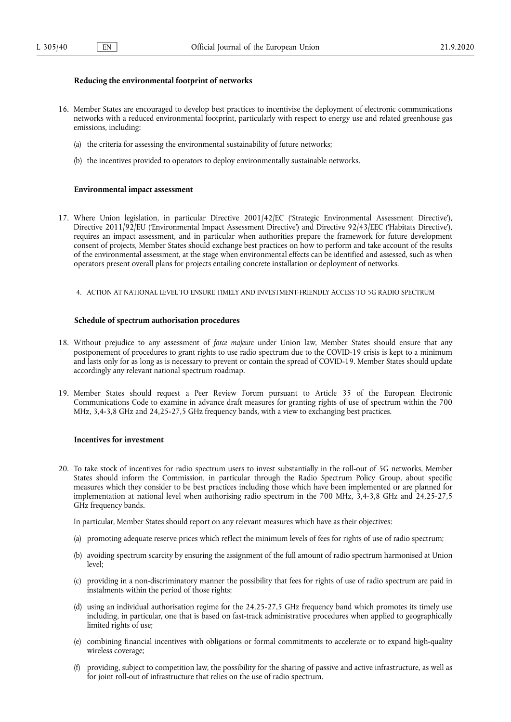# **Reducing the environmental footprint of networks**

- 16. Member States are encouraged to develop best practices to incentivise the deployment of electronic communications networks with a reduced environmental footprint, particularly with respect to energy use and related greenhouse gas emissions, including:
	- (a) the criteria for assessing the environmental sustainability of future networks;
	- (b) the incentives provided to operators to deploy environmentally sustainable networks.

#### **Environmental impact assessment**

- 17. Where Union legislation, in particular Directive 2001/42/EC ('Strategic Environmental Assessment Directive'), Directive 2011/92/EU ('Environmental Impact Assessment Directive') and Directive 92/43/EEC ('Habitats Directive'), requires an impact assessment, and in particular when authorities prepare the framework for future development consent of projects, Member States should exchange best practices on how to perform and take account of the results of the environmental assessment, at the stage when environmental effects can be identified and assessed, such as when operators present overall plans for projects entailing concrete installation or deployment of networks.
	- 4. ACTION AT NATIONAL LEVEL TO ENSURE TIMELY AND INVESTMENT-FRIENDLY ACCESS TO 5G RADIO SPECTRUM

## **Schedule of spectrum authorisation procedures**

- 18. Without prejudice to any assessment of *force majeure* under Union law, Member States should ensure that any postponement of procedures to grant rights to use radio spectrum due to the COVID-19 crisis is kept to a minimum and lasts only for as long as is necessary to prevent or contain the spread of COVID-19. Member States should update accordingly any relevant national spectrum roadmap.
- 19. Member States should request a Peer Review Forum pursuant to Article 35 of the European Electronic Communications Code to examine in advance draft measures for granting rights of use of spectrum within the 700 MHz, 3,4-3,8 GHz and 24,25-27,5 GHz frequency bands, with a view to exchanging best practices.

#### **Incentives for investment**

20. To take stock of incentives for radio spectrum users to invest substantially in the roll-out of 5G networks, Member States should inform the Commission, in particular through the Radio Spectrum Policy Group, about specific measures which they consider to be best practices including those which have been implemented or are planned for implementation at national level when authorising radio spectrum in the 700 MHz, 3,4-3,8 GHz and 24,25-27,5 GHz frequency bands.

In particular, Member States should report on any relevant measures which have as their objectives:

- (a) promoting adequate reserve prices which reflect the minimum levels of fees for rights of use of radio spectrum;
- (b) avoiding spectrum scarcity by ensuring the assignment of the full amount of radio spectrum harmonised at Union level;
- (c) providing in a non-discriminatory manner the possibility that fees for rights of use of radio spectrum are paid in instalments within the period of those rights;
- (d) using an individual authorisation regime for the 24,25-27,5 GHz frequency band which promotes its timely use including, in particular, one that is based on fast-track administrative procedures when applied to geographically limited rights of use;
- (e) combining financial incentives with obligations or formal commitments to accelerate or to expand high-quality wireless coverage;
- (f) providing, subject to competition law, the possibility for the sharing of passive and active infrastructure, as well as for joint roll-out of infrastructure that relies on the use of radio spectrum.